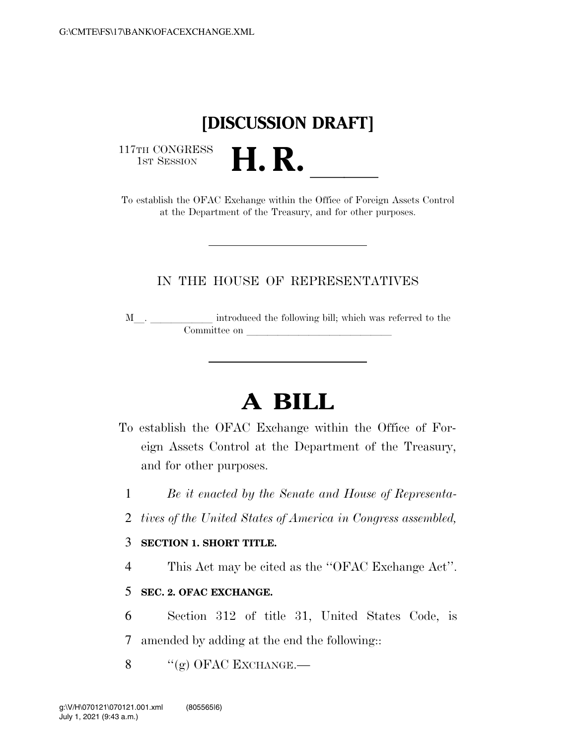## **[DISCUSSION DRAFT]**

117TH CONGRESS<br>1st Session

117TH CONGRESS<br>
1ST SESSION<br>
To establish the OFAC Exchange within the Office of Foreign Assets Control at the Department of the Treasury, and for other purposes.

### IN THE HOUSE OF REPRESENTATIVES

M  $\hfill\blacksquare$  <br> . <br> <br> <br> <br> <br> <br> <br> <br> <br> introduced the following bill; which was referred to the Committee on later and later the committee on later and later than  $\sim$ 

# **A BILL**

- To establish the OFAC Exchange within the Office of Foreign Assets Control at the Department of the Treasury, and for other purposes.
	- 1 *Be it enacted by the Senate and House of Representa-*
	- 2 *tives of the United States of America in Congress assembled,*

#### 3 **SECTION 1. SHORT TITLE.**

4 This Act may be cited as the ''OFAC Exchange Act''.

### 5 **SEC. 2. OFAC EXCHANGE.**

- 6 Section 312 of title 31, United States Code, is
- 7 amended by adding at the end the following::
- $\frac{8}{(g)}$  OFAC EXCHANGE.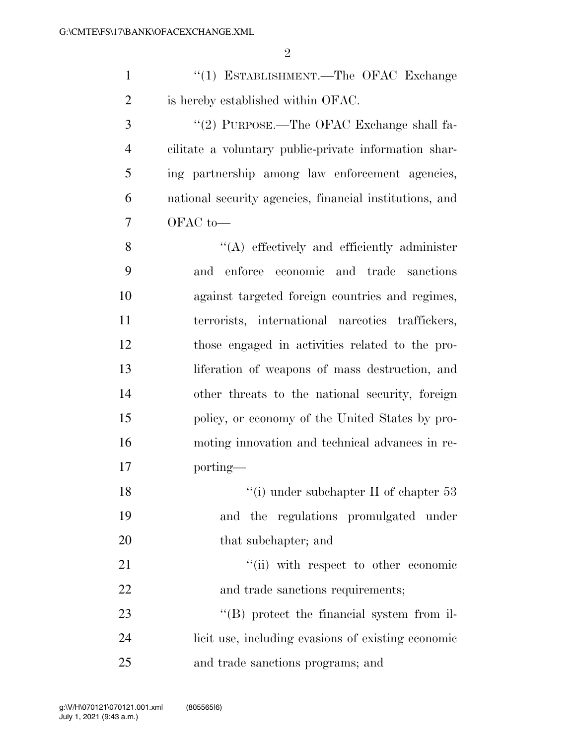| $\mathbf{1}$   | "(1) ESTABLISHMENT.—The OFAC Exchange                   |
|----------------|---------------------------------------------------------|
| $\overline{2}$ | is hereby established within OFAC.                      |
| 3              | "(2) PURPOSE.—The OFAC Exchange shall fa-               |
| $\overline{4}$ | cilitate a voluntary public-private information shar-   |
| 5              | ing partnership among law enforcement agencies,         |
| 6              | national security agencies, financial institutions, and |
| 7              | OFAC to-                                                |
| 8              | $\lq\lq$ effectively and efficiently administer         |
| 9              | enforce economic and trade sanctions<br>and             |
| 10             | against targeted foreign countries and regimes,         |
| 11             | terrorists, international narcotics traffickers,        |
| 12             | those engaged in activities related to the pro-         |
| 13             | liferation of weapons of mass destruction, and          |
| 14             | other threats to the national security, foreign         |
| 15             | policy, or economy of the United States by pro-         |
| 16             | moting innovation and technical advances in re-         |
| 17             | porting—                                                |
| 18             | "(i) under subchapter II of chapter $53$                |
| 19             | regulations promulgated under<br>and<br>the             |
| 20             | that subchapter; and                                    |
|                |                                                         |

21 ''(ii) with respect to other economic 22 and trade sanctions requirements;

23 ''(B) protect the financial system from il- licit use, including evasions of existing economic and trade sanctions programs; and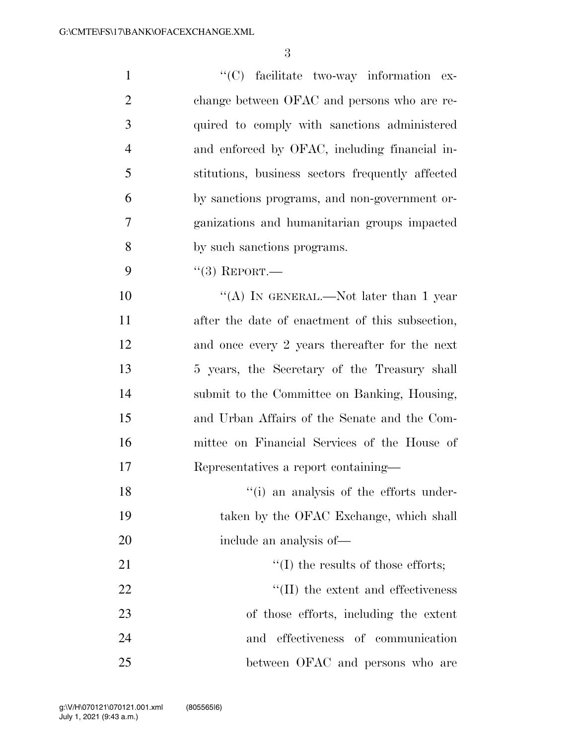| $\mathbf{1}$   | "(C) facilitate two-way information ex-          |
|----------------|--------------------------------------------------|
| $\overline{2}$ | change between OFAC and persons who are re-      |
| 3              | quired to comply with sanctions administered     |
| $\overline{4}$ | and enforced by OFAC, including financial in-    |
| 5              | stitutions, business sectors frequently affected |
| 6              | by sanctions programs, and non-government or-    |
| $\overline{7}$ | ganizations and humanitarian groups impacted     |
| 8              | by such sanctions programs.                      |
| 9              | $``(3)$ REPORT.—                                 |
| 10             | "(A) IN GENERAL.—Not later than 1 year           |
| 11             | after the date of enactment of this subsection,  |
| 12             | and once every 2 years thereafter for the next   |
| 13             | 5 years, the Secretary of the Treasury shall     |
| 14             | submit to the Committee on Banking, Housing,     |
| 15             | and Urban Affairs of the Senate and the Com-     |
| 16             | mittee on Financial Services of the House of     |
| 17             | Representatives a report containing-             |
| 18             | "(i) an analysis of the efforts under-           |
| 19             | taken by the OFAC Exchange, which shall          |
| 20             | include an analysis of-                          |
| 21             | $\lq\lq$ the results of those efforts;           |
| 22             | $\lq\lq$ (II) the extent and effectiveness       |
| 23             | of those efforts, including the extent           |
| 24             | effectiveness of communication<br>and            |
| 25             | between OFAC and persons who are                 |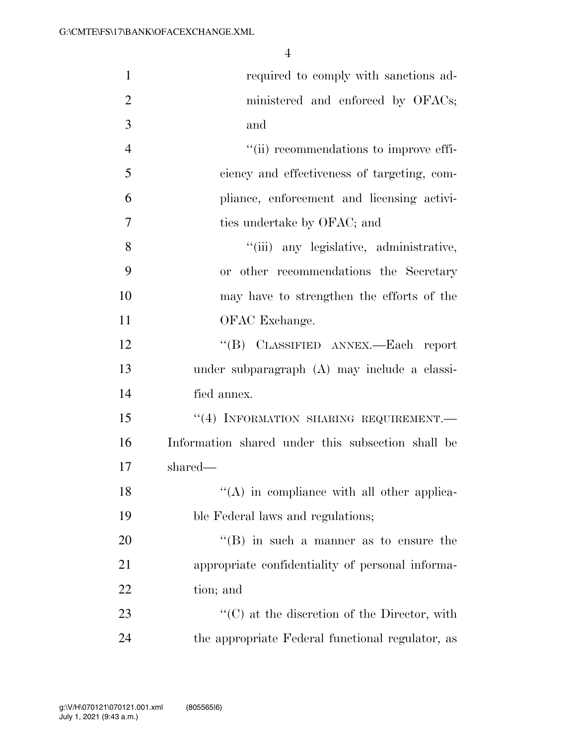| $\mathbf{1}$   | required to comply with sanctions ad-                |
|----------------|------------------------------------------------------|
| $\overline{2}$ | ministered and enforced by OFACs;                    |
| 3              | and                                                  |
| $\overline{4}$ | "(ii) recommendations to improve effi-               |
| 5              | ciency and effectiveness of targeting, com-          |
| 6              | pliance, enforcement and licensing activi-           |
| 7              | ties undertake by OFAC; and                          |
| 8              | "(iii) any legislative, administrative,              |
| 9              | or other recommendations the Secretary               |
| 10             | may have to strengthen the efforts of the            |
| 11             | OFAC Exchange.                                       |
| 12             | "(B) CLASSIFIED ANNEX.—Each report                   |
| 13             | under subparagraph (A) may include a classi-         |
| 14             | fied annex.                                          |
| 15             | "(4) INFORMATION SHARING REQUIREMENT.-               |
| 16             | Information shared under this subsection shall be    |
| 17             | shared—                                              |
| 18             | $\lq\lq$ (A) in compliance with all other applica-   |
| 19             | ble Federal laws and regulations;                    |
| 20             | $\lq\lq$ (B) in such a manner as to ensure the       |
| 21             | appropriate confidentiality of personal informa-     |
| 22             | tion; and                                            |
| 23             | $\lq\lq$ (C) at the discretion of the Director, with |
| 24             | the appropriate Federal functional regulator, as     |